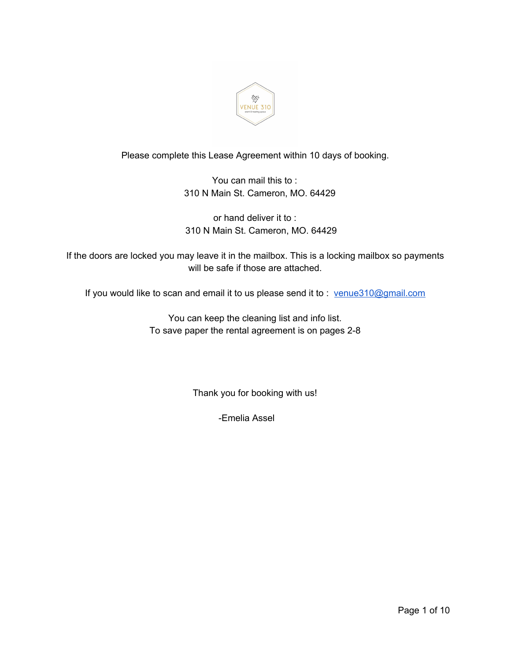

# Please complete this Lease Agreement within 10 days of booking.

You can mail this to : 310 N Main St. Cameron, MO. 64429

or hand deliver it to : 310 N Main St. Cameron, MO. 64429

If the doors are locked you may leave it in the mailbox. This is a locking mailbox so payments will be safe if those are attached.

If you would like to scan and email it to us please send it to : [venue310@gmail.com](mailto:venue310@gmail.com)

You can keep the cleaning list and info list. To save paper the rental agreement is on pages 2-8

Thank you for booking with us!

-Emelia Assel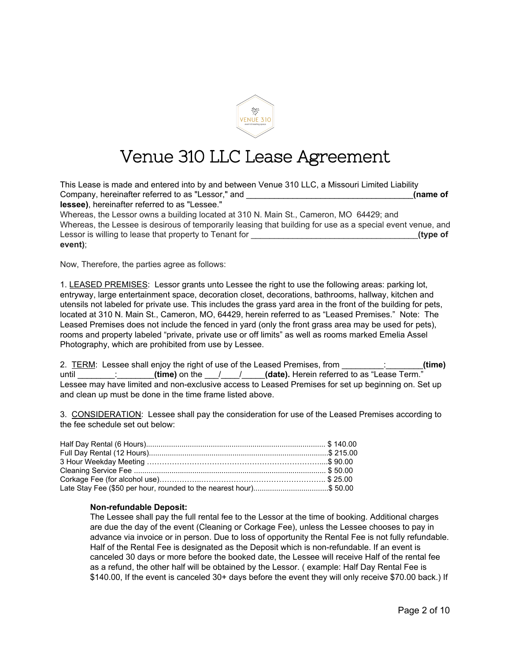

# Venue 310 LLC Lease Agreement

| This Lease is made and entered into by and between Venue 310 LLC, a Missouri Limited Liability             |          |
|------------------------------------------------------------------------------------------------------------|----------|
| Company, hereinafter referred to as "Lessor," and                                                          | (name of |
| lessee), hereinafter referred to as "Lessee."                                                              |          |
| Whereas, the Lessor owns a building located at 310 N. Main St., Cameron, MO 64429; and                     |          |
| Whereas, the Lessee is desirous of temporarily leasing that building for use as a special event venue, and |          |
| Lessor is willing to lease that property to Tenant for                                                     | (type of |
| event);                                                                                                    |          |

Now, Therefore, the parties agree as follows:

1. LEASED PREMISES: Lessor grants unto Lessee the right to use the following areas: parking lot, entryway, large entertainment space, decoration closet, decorations, bathrooms, hallway, kitchen and utensils not labeled for private use. This includes the grass yard area in the front of the building for pets, located at 310 N. Main St., Cameron, MO, 64429, herein referred to as "Leased Premises." Note: The Leased Premises does not include the fenced in yard (only the front grass area may be used for pets), rooms and property labeled "private, private use or off limits" as well as rooms marked Emelia Assel Photography, which are prohibited from use by Lessee.

| 2. TERM: Lessee shall enjoy the right of use of the Leased Premises, from                           | (time) |
|-----------------------------------------------------------------------------------------------------|--------|
| (time) on the $\frac{1}{1}$ / (date). Herein referred to as "Lease Term."<br>until                  |        |
| Lessee may have limited and non-exclusive access to Leased Premises for set up beginning on. Set up |        |
| and clean up must be done in the time frame listed above.                                           |        |

3. CONSIDERATION: Lessee shall pay the consideration for use of the Leased Premises according to the fee schedule set out below:

| Late Stay Fee (\$50 per hour, rounded to the nearest hour)\$ 50.00 |  |
|--------------------------------------------------------------------|--|

#### **Non-refundable Deposit:**

The Lessee shall pay the full rental fee to the Lessor at the time of booking. Additional charges are due the day of the event (Cleaning or Corkage Fee), unless the Lessee chooses to pay in advance via invoice or in person. Due to loss of opportunity the Rental Fee is not fully refundable. Half of the Rental Fee is designated as the Deposit which is non-refundable. If an event is canceled 30 days or more before the booked date, the Lessee will receive Half of the rental fee as a refund, the other half will be obtained by the Lessor. ( example: Half Day Rental Fee is \$140.00, If the event is canceled 30+ days before the event they will only receive \$70.00 back.) If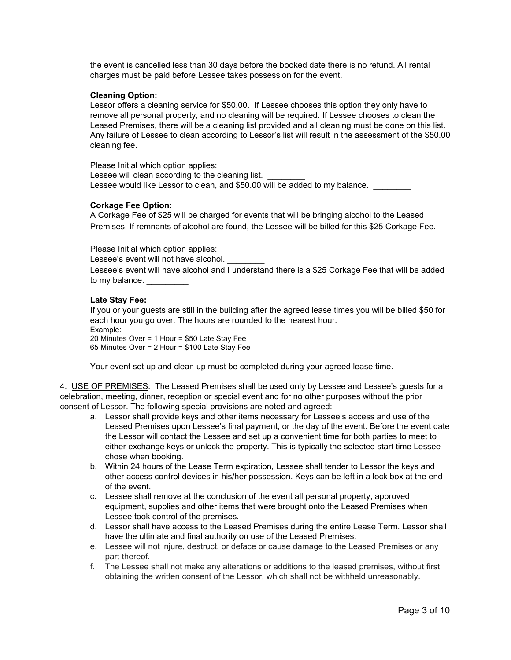the event is cancelled less than 30 days before the booked date there is no refund. All rental charges must be paid before Lessee takes possession for the event.

### **Cleaning Option:**

Lessor offers a cleaning service for \$50.00. If Lessee chooses this option they only have to remove all personal property, and no cleaning will be required. If Lessee chooses to clean the Leased Premises, there will be a cleaning list provided and all cleaning must be done on this list. Any failure of Lessee to clean according to Lessor's list will result in the assessment of the \$50.00 cleaning fee.

Please Initial which option applies: Lessee will clean according to the cleaning list. Lessee would like Lessor to clean, and \$50.00 will be added to my balance.

#### **Corkage Fee Option:**

A Corkage Fee of \$25 will be charged for events that will be bringing alcohol to the Leased Premises. If remnants of alcohol are found, the Lessee will be billed for this \$25 Corkage Fee.

Please Initial which option applies:

Lessee's event will not have alcohol.

Lessee's event will have alcohol and I understand there is a \$25 Corkage Fee that will be added to my balance.

#### **Late Stay Fee:**

If you or your guests are still in the building after the agreed lease times you will be billed \$50 for each hour you go over. The hours are rounded to the nearest hour.

Example: 20 Minutes Over = 1 Hour = \$50 Late Stay Fee 65 Minutes Over = 2 Hour = \$100 Late Stay Fee

Your event set up and clean up must be completed during your agreed lease time.

4. USE OF PREMISES: The Leased Premises shall be used only by Lessee and Lessee's guests for a celebration, meeting, dinner, reception or special event and for no other purposes without the prior consent of Lessor. The following special provisions are noted and agreed:

- a. Lessor shall provide keys and other items necessary for Lessee's access and use of the Leased Premises upon Lessee's final payment, or the day of the event. Before the event date the Lessor will contact the Lessee and set up a convenient time for both parties to meet to either exchange keys or unlock the property. This is typically the selected start time Lessee chose when booking.
- b. Within 24 hours of the Lease Term expiration, Lessee shall tender to Lessor the keys and other access control devices in his/her possession. Keys can be left in a lock box at the end of the event.
- c. Lessee shall remove at the conclusion of the event all personal property, approved equipment, supplies and other items that were brought onto the Leased Premises when Lessee took control of the premises.
- d. Lessor shall have access to the Leased Premises during the entire Lease Term. Lessor shall have the ultimate and final authority on use of the Leased Premises.
- e. Lessee will not injure, destruct, or deface or cause damage to the Leased Premises or any part thereof.
- f. The Lessee shall not make any alterations or additions to the leased premises, without first obtaining the written consent of the Lessor, which shall not be withheld unreasonably.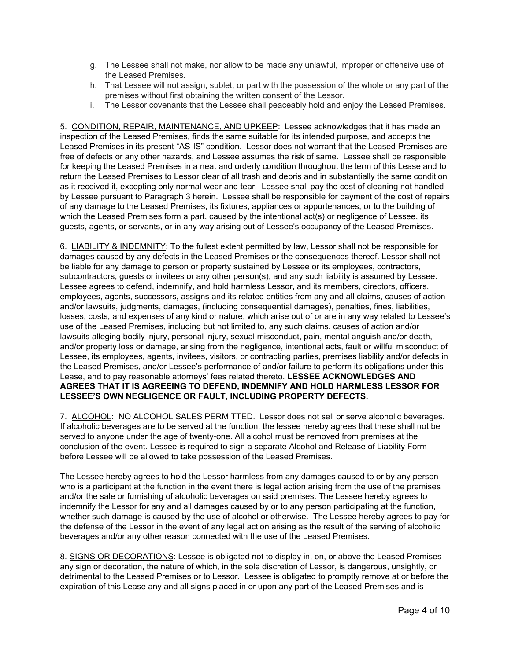- g. The Lessee shall not make, nor allow to be made any unlawful, improper or offensive use of the Leased Premises.
- h. That Lessee will not assign, sublet, or part with the possession of the whole or any part of the premises without first obtaining the written consent of the Lessor.
- i. The Lessor covenants that the Lessee shall peaceably hold and enjoy the Leased Premises.

5. CONDITION, REPAIR, MAINTENANCE, AND UPKEEP: Lessee acknowledges that it has made an inspection of the Leased Premises, finds the same suitable for its intended purpose, and accepts the Leased Premises in its present "AS-IS" condition. Lessor does not warrant that the Leased Premises are free of defects or any other hazards, and Lessee assumes the risk of same. Lessee shall be responsible for keeping the Leased Premises in a neat and orderly condition throughout the term of this Lease and to return the Leased Premises to Lessor clear of all trash and debris and in substantially the same condition as it received it, excepting only normal wear and tear. Lessee shall pay the cost of cleaning not handled by Lessee pursuant to Paragraph 3 herein. Lessee shall be responsible for payment of the cost of repairs of any damage to the Leased Premises, its fixtures, appliances or appurtenances, or to the building of which the Leased Premises form a part, caused by the intentional act(s) or negligence of Lessee, its guests, agents, or servants, or in any way arising out of Lessee's occupancy of the Leased Premises.

6. LIABILITY & INDEMNITY: To the fullest extent permitted by law, Lessor shall not be responsible for damages caused by any defects in the Leased Premises or the consequences thereof. Lessor shall not be liable for any damage to person or property sustained by Lessee or its employees, contractors, subcontractors, guests or invitees or any other person(s), and any such liability is assumed by Lessee. Lessee agrees to defend, indemnify, and hold harmless Lessor, and its members, directors, officers, employees, agents, successors, assigns and its related entities from any and all claims, causes of action and/or lawsuits, judgments, damages, (including consequential damages), penalties, fines, liabilities, losses, costs, and expenses of any kind or nature, which arise out of or are in any way related to Lessee's use of the Leased Premises, including but not limited to, any such claims, causes of action and/or lawsuits alleging bodily injury, personal injury, sexual misconduct, pain, mental anguish and/or death, and/or property loss or damage, arising from the negligence, intentional acts, fault or willful misconduct of Lessee, its employees, agents, invitees, visitors, or contracting parties, premises liability and/or defects in the Leased Premises, and/or Lessee's performance of and/or failure to perform its obligations under this Lease, and to pay reasonable attorneys' fees related thereto. **LESSEE ACKNOWLEDGES AND AGREES THAT IT IS AGREEING TO DEFEND, INDEMNIFY AND HOLD HARMLESS LESSOR FOR LESSEE'S OWN NEGLIGENCE OR FAULT, INCLUDING PROPERTY DEFECTS.**

7. ALCOHOL: NO ALCOHOL SALES PERMITTED. Lessor does not sell or serve alcoholic beverages. If alcoholic beverages are to be served at the function, the lessee hereby agrees that these shall not be served to anyone under the age of twenty-one. All alcohol must be removed from premises at the conclusion of the event. Lessee is required to sign a separate Alcohol and Release of Liability Form before Lessee will be allowed to take possession of the Leased Premises.

The Lessee hereby agrees to hold the Lessor harmless from any damages caused to or by any person who is a participant at the function in the event there is legal action arising from the use of the premises and/or the sale or furnishing of alcoholic beverages on said premises. The Lessee hereby agrees to indemnify the Lessor for any and all damages caused by or to any person participating at the function, whether such damage is caused by the use of alcohol or otherwise. The Lessee hereby agrees to pay for the defense of the Lessor in the event of any legal action arising as the result of the serving of alcoholic beverages and/or any other reason connected with the use of the Leased Premises.

8. SIGNS OR DECORATIONS: Lessee is obligated not to display in, on, or above the Leased Premises any sign or decoration, the nature of which, in the sole discretion of Lessor, is dangerous, unsightly, or detrimental to the Leased Premises or to Lessor. Lessee is obligated to promptly remove at or before the expiration of this Lease any and all signs placed in or upon any part of the Leased Premises and is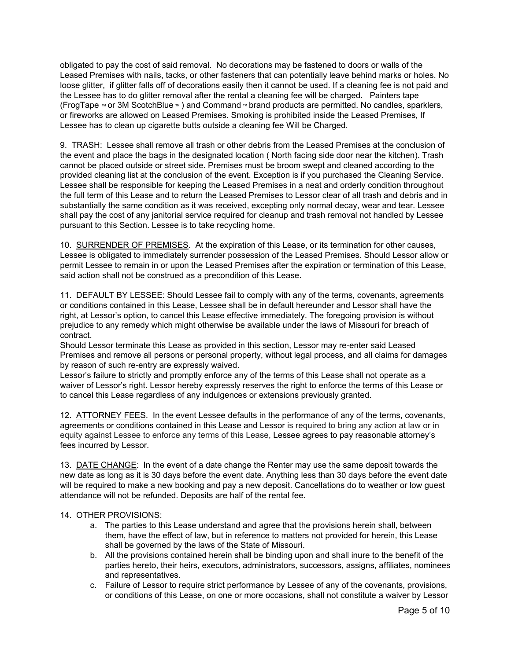obligated to pay the cost of said removal. No decorations may be fastened to doors or walls of the Leased Premises with nails, tacks, or other fasteners that can potentially leave behind marks or holes. No loose glitter, if glitter falls off of decorations easily then it cannot be used. If a cleaning fee is not paid and the Lessee has to do glitter removal after the rental a cleaning fee will be charged. Painters tape (FrogTape ™ or 3M ScotchBlue ™ ) and Command ™ brand products are permitted. No candles, sparklers, or fireworks are allowed on Leased Premises. Smoking is prohibited inside the Leased Premises, If Lessee has to clean up cigarette butts outside a cleaning fee Will be Charged.

9. TRASH: Lessee shall remove all trash or other debris from the Leased Premises at the conclusion of the event and place the bags in the designated location ( North facing side door near the kitchen). Trash cannot be placed outside or street side. Premises must be broom swept and cleaned according to the provided cleaning list at the conclusion of the event. Exception is if you purchased the Cleaning Service. Lessee shall be responsible for keeping the Leased Premises in a neat and orderly condition throughout the full term of this Lease and to return the Leased Premises to Lessor clear of all trash and debris and in substantially the same condition as it was received, excepting only normal decay, wear and tear. Lessee shall pay the cost of any janitorial service required for cleanup and trash removal not handled by Lessee pursuant to this Section. Lessee is to take recycling home.

10. SURRENDER OF PREMISES. At the expiration of this Lease, or its termination for other causes, Lessee is obligated to immediately surrender possession of the Leased Premises. Should Lessor allow or permit Lessee to remain in or upon the Leased Premises after the expiration or termination of this Lease, said action shall not be construed as a precondition of this Lease.

11. DEFAULT BY LESSEE: Should Lessee fail to comply with any of the terms, covenants, agreements or conditions contained in this Lease, Lessee shall be in default hereunder and Lessor shall have the right, at Lessor's option, to cancel this Lease effective immediately. The foregoing provision is without prejudice to any remedy which might otherwise be available under the laws of Missouri for breach of contract.

Should Lessor terminate this Lease as provided in this section, Lessor may re-enter said Leased Premises and remove all persons or personal property, without legal process, and all claims for damages by reason of such re-entry are expressly waived.

Lessor's failure to strictly and promptly enforce any of the terms of this Lease shall not operate as a waiver of Lessor's right. Lessor hereby expressly reserves the right to enforce the terms of this Lease or to cancel this Lease regardless of any indulgences or extensions previously granted.

12. ATTORNEY FEES. In the event Lessee defaults in the performance of any of the terms, covenants, agreements or conditions contained in this Lease and Lessor is required to bring any action at law or in equity against Lessee to enforce any terms of this Lease, Lessee agrees to pay reasonable attorney's fees incurred by Lessor.

13. DATE CHANGE: In the event of a date change the Renter may use the same deposit towards the new date as long as it is 30 days before the event date. Anything less than 30 days before the event date will be required to make a new booking and pay a new deposit. Cancellations do to weather or low guest attendance will not be refunded. Deposits are half of the rental fee.

## 14. OTHER PROVISIONS:

- a. The parties to this Lease understand and agree that the provisions herein shall, between them, have the effect of law, but in reference to matters not provided for herein, this Lease shall be governed by the laws of the State of Missouri.
- b. All the provisions contained herein shall be binding upon and shall inure to the benefit of the parties hereto, their heirs, executors, administrators, successors, assigns, affiliates, nominees and representatives.
- c. Failure of Lessor to require strict performance by Lessee of any of the covenants, provisions, or conditions of this Lease, on one or more occasions, shall not constitute a waiver by Lessor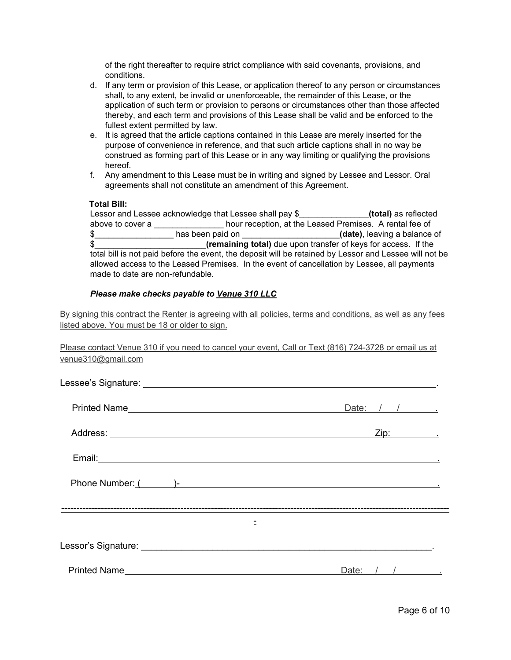of the right thereafter to require strict compliance with said covenants, provisions, and conditions.

- d. If any term or provision of this Lease, or application thereof to any person or circumstances shall, to any extent, be invalid or unenforceable, the remainder of this Lease, or the application of such term or provision to persons or circumstances other than those affected thereby, and each term and provisions of this Lease shall be valid and be enforced to the fullest extent permitted by law.
- e. It is agreed that the article captions contained in this Lease are merely inserted for the purpose of convenience in reference, and that such article captions shall in no way be construed as forming part of this Lease or in any way limiting or qualifying the provisions hereof.
- f. Any amendment to this Lease must be in writing and signed by Lessee and Lessor. Oral agreements shall not constitute an amendment of this Agreement.

### **Total Bill:**

|                                  | Lessor and Lessee acknowledge that Lessee shall pay \$ |                                                                                             | (total) as reflected                                                                                   |
|----------------------------------|--------------------------------------------------------|---------------------------------------------------------------------------------------------|--------------------------------------------------------------------------------------------------------|
| above to cover a                 |                                                        | hour reception, at the Leased Premises. A rental fee of                                     |                                                                                                        |
| \$                               | has been paid on                                       |                                                                                             | (date), leaving a balance of                                                                           |
| \$                               |                                                        | (remaining total) due upon transfer of keys for access. If the                              |                                                                                                        |
|                                  |                                                        |                                                                                             | total bill is not paid before the event, the deposit will be retained by Lessor and Lessee will not be |
|                                  |                                                        | allowed access to the Leased Premises. In the event of cancellation by Lessee, all payments |                                                                                                        |
| made to date are non-refundable. |                                                        |                                                                                             |                                                                                                        |

### *Please make checks payable to Venue 310 LLC*

By signing this contract the Renter is agreeing with all policies, terms and conditions, as well as any fees listed above. You must be 18 or older to sign.

Please contact Venue 310 if you need to cancel your event, Call or Text (816) 724-3728 or email us at venue310@gmail.com

| Date: $/ / /$                            |
|------------------------------------------|
| Zip:                                     |
|                                          |
| Phone Number: ( )-<br>Phone Number: ( )- |
|                                          |
|                                          |
| Date: $/$ / $/$                          |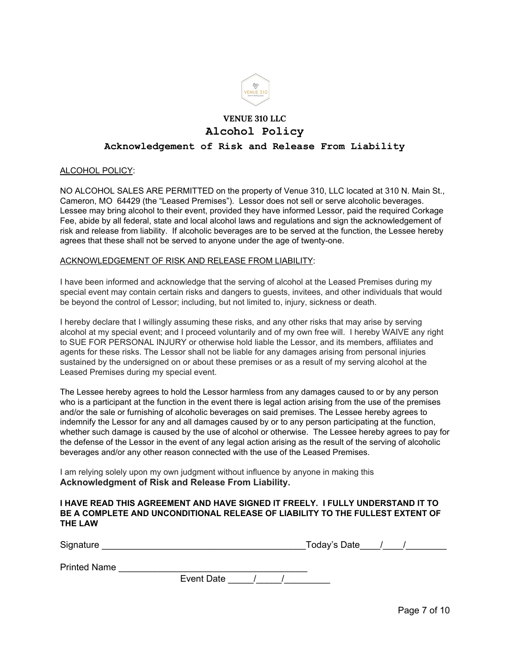

# **VENUE 310 LLC Alcohol Policy**

# **Acknowledgement of Risk and Release From Liability**

### ALCOHOL POLICY:

NO ALCOHOL SALES ARE PERMITTED on the property of Venue 310, LLC located at 310 N. Main St., Cameron, MO 64429 (the "Leased Premises"). Lessor does not sell or serve alcoholic beverages. Lessee may bring alcohol to their event, provided they have informed Lessor, paid the required Corkage Fee, abide by all federal, state and local alcohol laws and regulations and sign the acknowledgement of risk and release from liability. If alcoholic beverages are to be served at the function, the Lessee hereby agrees that these shall not be served to anyone under the age of twenty-one.

### ACKNOWLEDGEMENT OF RISK AND RELEASE FROM LIABILITY:

I have been informed and acknowledge that the serving of alcohol at the Leased Premises during my special event may contain certain risks and dangers to guests, invitees, and other individuals that would be beyond the control of Lessor; including, but not limited to, injury, sickness or death.

I hereby declare that I willingly assuming these risks, and any other risks that may arise by serving alcohol at my special event; and I proceed voluntarily and of my own free will. I hereby WAIVE any right to SUE FOR PERSONAL INJURY or otherwise hold liable the Lessor, and its members, affiliates and agents for these risks. The Lessor shall not be liable for any damages arising from personal injuries sustained by the undersigned on or about these premises or as a result of my serving alcohol at the Leased Premises during my special event.

The Lessee hereby agrees to hold the Lessor harmless from any damages caused to or by any person who is a participant at the function in the event there is legal action arising from the use of the premises and/or the sale or furnishing of alcoholic beverages on said premises. The Lessee hereby agrees to indemnify the Lessor for any and all damages caused by or to any person participating at the function, whether such damage is caused by the use of alcohol or otherwise. The Lessee hereby agrees to pay for the defense of the Lessor in the event of any legal action arising as the result of the serving of alcoholic beverages and/or any other reason connected with the use of the Leased Premises.

I am relying solely upon my own judgment without influence by anyone in making this **Acknowledgment of Risk and Release From Liability.**

### **I HAVE READ THIS AGREEMENT AND HAVE SIGNED IT FREELY. I FULLY UNDERSTAND IT TO BE A COMPLETE AND UNCONDITIONAL RELEASE OF LIABILITY TO THE FULLEST EXTENT OF THE LAW**

| Signature | ⊺odaγ's Date |  |
|-----------|--------------|--|
|-----------|--------------|--|

Printed Name

Event Date  $\overline{\qquad \qquad / \qquad \qquad / \qquad \qquad }$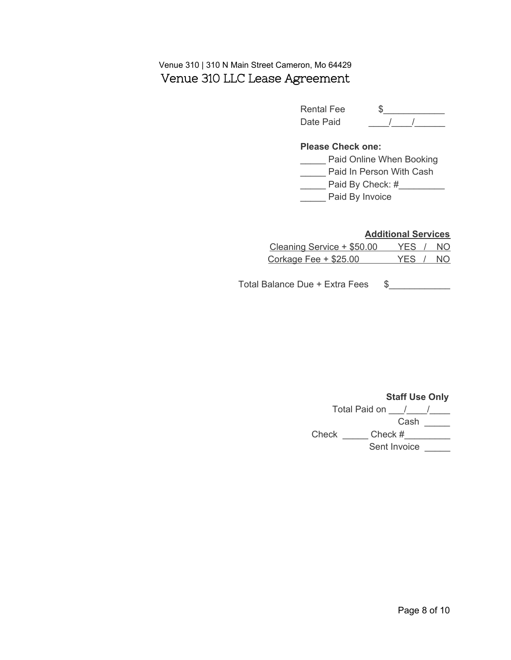# Venue 310 | 310 N Main Street Cameron, Mo 64429 Venue 310 LLC Lease Agreement

| Rental Fee |  |
|------------|--|
| Date Paid  |  |

# **Please Check one:**

\_\_\_\_\_ Paid Online When Booking

**\_\_\_\_\_** Paid In Person With Cash

\_\_\_\_\_\_\_ Paid By Check: #\_\_\_\_\_\_\_\_\_\_

**\_\_\_\_\_** Paid By Invoice

# **Additional Services**

| Cleaning Service + \$50.00   | YES / NO |  |
|------------------------------|----------|--|
| <u>Corkage Fee + \$25.00</u> | YES / NO |  |

Total Balance Due + Extra Fees \$\_\_\_\_\_\_\_\_\_\_

# **Staff Use Only** Total Paid on  $\frac{1}{\sqrt{2}}$

Cash Check \_\_\_\_\_\_ Check #\_\_\_\_\_\_\_\_\_ Sent Invoice \_\_\_\_\_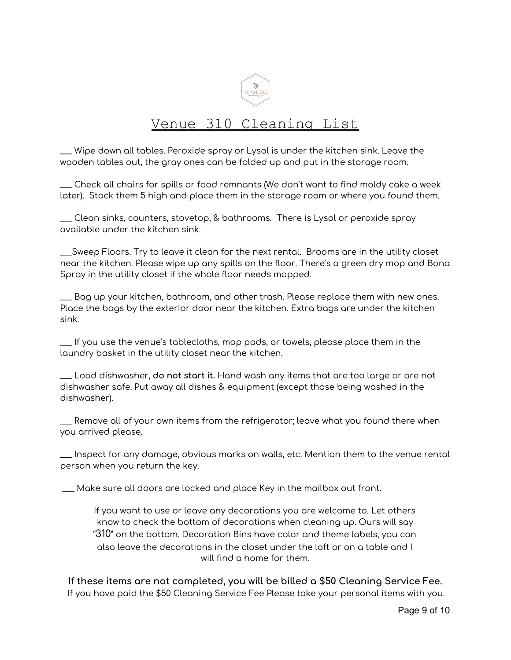

# Venue 310 Cleaning List

\_\_\_ Wipe down all tables. Peroxide spray or Lysol is under the kitchen sink. Leave the wooden tables out, the gray ones can be folded up and put in the storage room.

\_\_\_ Check all chairs for spills or food remnants (We don't want to find moldy cake a week later). Stack them 5 high and place them in the storage room or where you found them.

\_\_\_ Clean sinks, counters, stovetop, & bathrooms. There is Lysol or peroxide spray available under the kitchen sink.

\_\_\_Sweep Floors. Try to leave it clean for the next rental. Brooms are in the utility closet near the kitchen. Please wipe up any spills on the floor. There's a green dry mop and Bona Spray in the utility closet if the whole floor needs mopped.

\_\_\_ Bag up your kitchen, bathroom, and other trash. Please replace them with new ones. Place the bags by the exterior door near the kitchen. Extra bags are under the kitchen sink.

\_\_\_ If you use the venue's tablecloths, mop pads, or towels, please place them in the laundry basket in the utility closet near the kitchen.

\_\_\_ Load dishwasher, **do not start it.** Hand wash any items that are too large or are not dishwasher safe. Put away all dishes & equipment (except those being washed in the dishwasher).

\_\_\_ Remove all of your own items from the refrigerator; leave what you found there when you arrived please.

\_\_\_ Inspect for any damage, obvious marks on walls, etc. Mention them to the venue rental person when you return the key.

\_\_\_ Make sure all doors are locked and place Key in the mailbox out front.

If you want to use or leave any decorations you are welcome to. Let others know to check the bottom of decorations when cleaning up. Ours will say "310" on the bottom. Decoration Bins have color and theme labels, you can also leave the decorations in the closet under the loft or on a table and I will find a home for them.

**If these items are not completed, you will be billed a \$50 Cleaning Service Fee.** If you have paid the \$50 Cleaning Service Fee Please take your personal items with you.